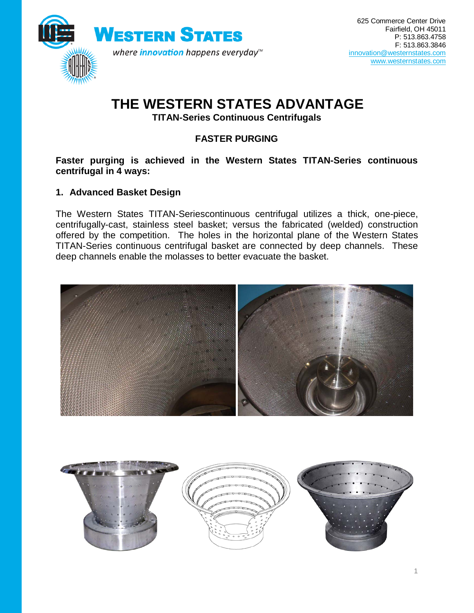

# **THE WESTERN STATES ADVANTAGE**

**TITAN-Series Continuous Centrifugals**

## **FASTER PURGING**

#### **Faster purging is achieved in the Western States TITAN-Series continuous centrifugal in 4 ways:**

### **1. Advanced Basket Design**

The Western States TITAN-Seriescontinuous centrifugal utilizes a thick, one-piece, centrifugally-cast, stainless steel basket; versus the fabricated (welded) construction offered by the competition. The holes in the horizontal plane of the Western States TITAN-Series continuous centrifugal basket are connected by deep channels. These deep channels enable the molasses to better evacuate the basket.



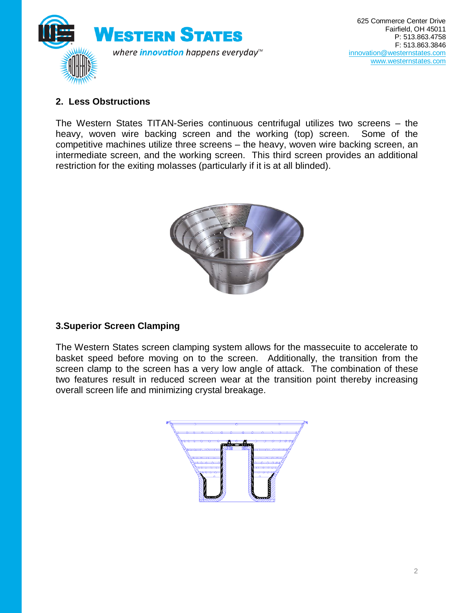

## **2. Less Obstructions**

The Western States TITAN-Series continuous centrifugal utilizes two screens – the heavy, woven wire backing screen and the working (top) screen. Some of the competitive machines utilize three screens – the heavy, woven wire backing screen, an intermediate screen, and the working screen. This third screen provides an additional restriction for the exiting molasses (particularly if it is at all blinded).



## **3.Superior Screen Clamping**

The Western States screen clamping system allows for the massecuite to accelerate to basket speed before moving on to the screen. Additionally, the transition from the screen clamp to the screen has a very low angle of attack. The combination of these two features result in reduced screen wear at the transition point thereby increasing overall screen life and minimizing crystal breakage.

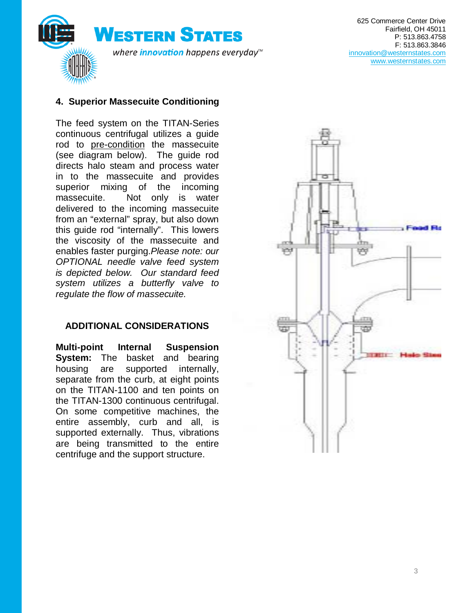

#### **4. Superior Massecuite Conditioning**

The feed system on the TITAN-Series continuous centrifugal utilizes a guide rod to pre-condition the massecuite (see diagram below). The guide rod directs halo steam and process water in to the massecuite and provides superior mixing of the incoming massecuite. Not only is water delivered to the incoming massecuite from an "external" spray, but also down this guide rod "internally". This lowers the viscosity of the massecuite and enables faster purging.*Please note: our OPTIONAL needle valve feed system is depicted below. Our standard feed system utilizes a butterfly valve to regulate the flow of massecuite.*

#### **ADDITIONAL CONSIDERATIONS**

**Multi-point Internal Suspension System:** The basket and bearing housing are supported internally, separate from the curb, at eight points on the TITAN-1100 and ten points on the TITAN-1300 continuous centrifugal. On some competitive machines, the entire assembly, curb and all, is supported externally. Thus, vibrations are being transmitted to the entire centrifuge and the support structure.

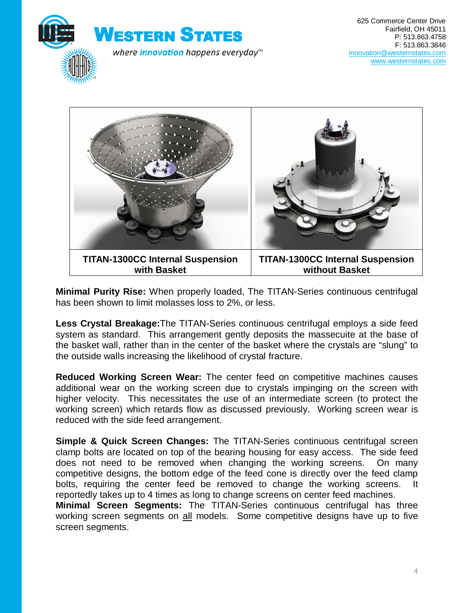



**Minimal Purity Rise:** When properly loaded, The TITAN-Series continuous centrifugal has been shown to limit molasses loss to 2%, or less.

**Less Crystal Breakage:**The TITAN-Series continuous centrifugal employs a side feed system as standard. This arrangement gently deposits the massecuite at the base of the basket wall, rather than in the center of the basket where the crystals are "slung" to the outside walls increasing the likelihood of crystal fracture.

**Reduced Working Screen Wear:** The center feed on competitive machines causes additional wear on the working screen due to crystals impinging on the screen with higher velocity. This necessitates the use of an intermediate screen (to protect the working screen) which retards flow as discussed previously. Working screen wear is reduced with the side feed arrangement.

**Simple & Quick Screen Changes:** The TITAN-Series continuous centrifugal screen clamp bolts are located on top of the bearing housing for easy access. The side feed does not need to be removed when changing the working screens. On many competitive designs, the bottom edge of the feed cone is directly over the feed clamp bolts, requiring the center feed be removed to change the working screens. reportedly takes up to 4 times as long to change screens on center feed machines.

**Minimal Screen Segments:** The TITAN-Series continuous centrifugal has three working screen segments on all models. Some competitive designs have up to five screen segments.